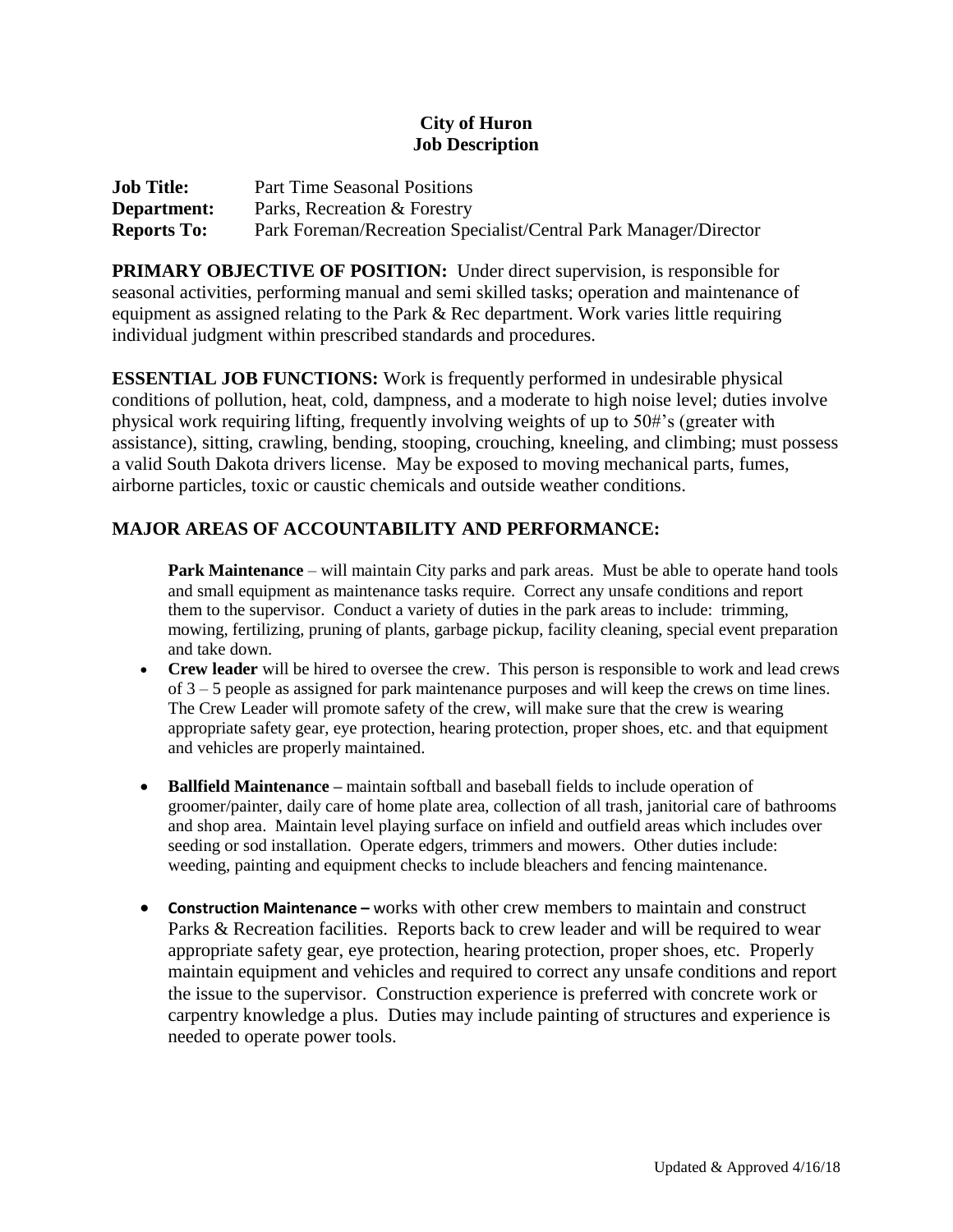## **City of Huron Job Description**

| <b>Job Title:</b>  | <b>Part Time Seasonal Positions</b>                              |
|--------------------|------------------------------------------------------------------|
| Department:        | Parks, Recreation & Forestry                                     |
| <b>Reports To:</b> | Park Foreman/Recreation Specialist/Central Park Manager/Director |

**PRIMARY OBJECTIVE OF POSITION:** Under direct supervision, is responsible for seasonal activities, performing manual and semi skilled tasks; operation and maintenance of equipment as assigned relating to the Park & Rec department. Work varies little requiring individual judgment within prescribed standards and procedures.

**ESSENTIAL JOB FUNCTIONS:** Work is frequently performed in undesirable physical conditions of pollution, heat, cold, dampness, and a moderate to high noise level; duties involve physical work requiring lifting, frequently involving weights of up to 50#'s (greater with assistance), sitting, crawling, bending, stooping, crouching, kneeling, and climbing; must possess a valid South Dakota drivers license. May be exposed to moving mechanical parts, fumes, airborne particles, toxic or caustic chemicals and outside weather conditions.

## **MAJOR AREAS OF ACCOUNTABILITY AND PERFORMANCE:**

**Park Maintenance** – will maintain City parks and park areas. Must be able to operate hand tools and small equipment as maintenance tasks require. Correct any unsafe conditions and report them to the supervisor. Conduct a variety of duties in the park areas to include: trimming, mowing, fertilizing, pruning of plants, garbage pickup, facility cleaning, special event preparation and take down.

- **Crew leader** will be hired to oversee the crew. This person is responsible to work and lead crews of 3 – 5 people as assigned for park maintenance purposes and will keep the crews on time lines. The Crew Leader will promote safety of the crew, will make sure that the crew is wearing appropriate safety gear, eye protection, hearing protection, proper shoes, etc. and that equipment and vehicles are properly maintained.
- **Ballfield Maintenance –** maintain softball and baseball fields to include operation of groomer/painter, daily care of home plate area, collection of all trash, janitorial care of bathrooms and shop area. Maintain level playing surface on infield and outfield areas which includes over seeding or sod installation. Operate edgers, trimmers and mowers. Other duties include: weeding, painting and equipment checks to include bleachers and fencing maintenance.
- **Construction Maintenance –** works with other crew members to maintain and construct Parks & Recreation facilities. Reports back to crew leader and will be required to wear appropriate safety gear, eye protection, hearing protection, proper shoes, etc. Properly maintain equipment and vehicles and required to correct any unsafe conditions and report the issue to the supervisor. Construction experience is preferred with concrete work or carpentry knowledge a plus. Duties may include painting of structures and experience is needed to operate power tools.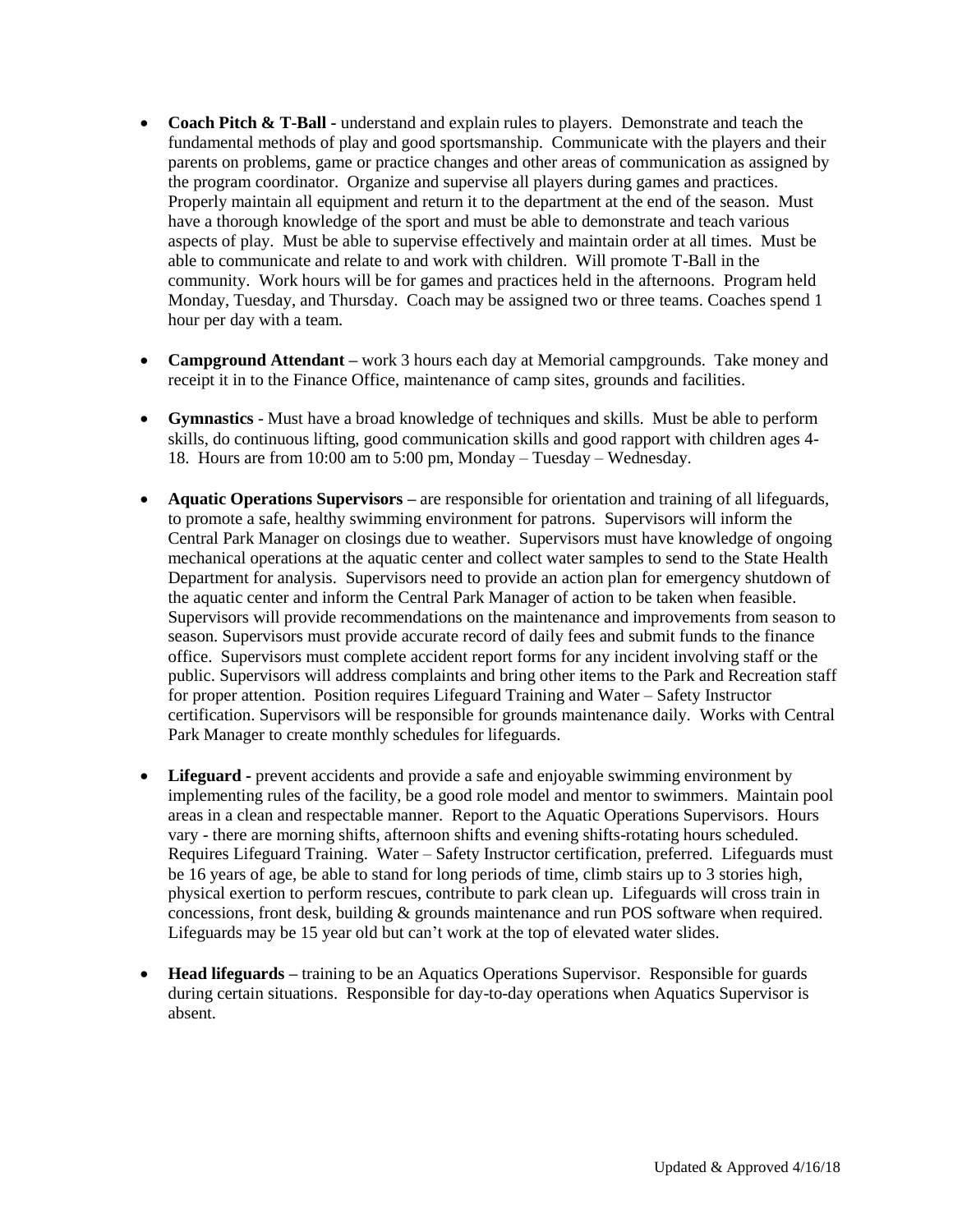- **Coach Pitch & T-Ball -** understand and explain rules to players. Demonstrate and teach the fundamental methods of play and good sportsmanship. Communicate with the players and their parents on problems, game or practice changes and other areas of communication as assigned by the program coordinator. Organize and supervise all players during games and practices. Properly maintain all equipment and return it to the department at the end of the season. Must have a thorough knowledge of the sport and must be able to demonstrate and teach various aspects of play. Must be able to supervise effectively and maintain order at all times. Must be able to communicate and relate to and work with children. Will promote T-Ball in the community. Work hours will be for games and practices held in the afternoons. Program held Monday, Tuesday, and Thursday. Coach may be assigned two or three teams. Coaches spend 1 hour per day with a team.
- **Campground Attendant –** work 3 hours each day at Memorial campgrounds. Take money and receipt it in to the Finance Office, maintenance of camp sites, grounds and facilities.
- **Gymnastics** Must have a broad knowledge of techniques and skills. Must be able to perform skills, do continuous lifting, good communication skills and good rapport with children ages 4- 18. Hours are from 10:00 am to 5:00 pm, Monday – Tuesday – Wednesday.
- **Aquatic Operations Supervisors –** are responsible for orientation and training of all lifeguards, to promote a safe, healthy swimming environment for patrons. Supervisors will inform the Central Park Manager on closings due to weather. Supervisors must have knowledge of ongoing mechanical operations at the aquatic center and collect water samples to send to the State Health Department for analysis. Supervisors need to provide an action plan for emergency shutdown of the aquatic center and inform the Central Park Manager of action to be taken when feasible. Supervisors will provide recommendations on the maintenance and improvements from season to season. Supervisors must provide accurate record of daily fees and submit funds to the finance office. Supervisors must complete accident report forms for any incident involving staff or the public. Supervisors will address complaints and bring other items to the Park and Recreation staff for proper attention. Position requires Lifeguard Training and Water – Safety Instructor certification. Supervisors will be responsible for grounds maintenance daily. Works with Central Park Manager to create monthly schedules for lifeguards.
- **Lifeguard -** prevent accidents and provide a safe and enjoyable swimming environment by implementing rules of the facility, be a good role model and mentor to swimmers. Maintain pool areas in a clean and respectable manner. Report to the Aquatic Operations Supervisors. Hours vary - there are morning shifts, afternoon shifts and evening shifts-rotating hours scheduled. Requires Lifeguard Training. Water – Safety Instructor certification, preferred. Lifeguards must be 16 years of age, be able to stand for long periods of time, climb stairs up to 3 stories high, physical exertion to perform rescues, contribute to park clean up. Lifeguards will cross train in concessions, front desk, building & grounds maintenance and run POS software when required. Lifeguards may be 15 year old but can't work at the top of elevated water slides.
- **Head lifeguards –** training to be an Aquatics Operations Supervisor. Responsible for guards during certain situations. Responsible for day-to-day operations when Aquatics Supervisor is absent.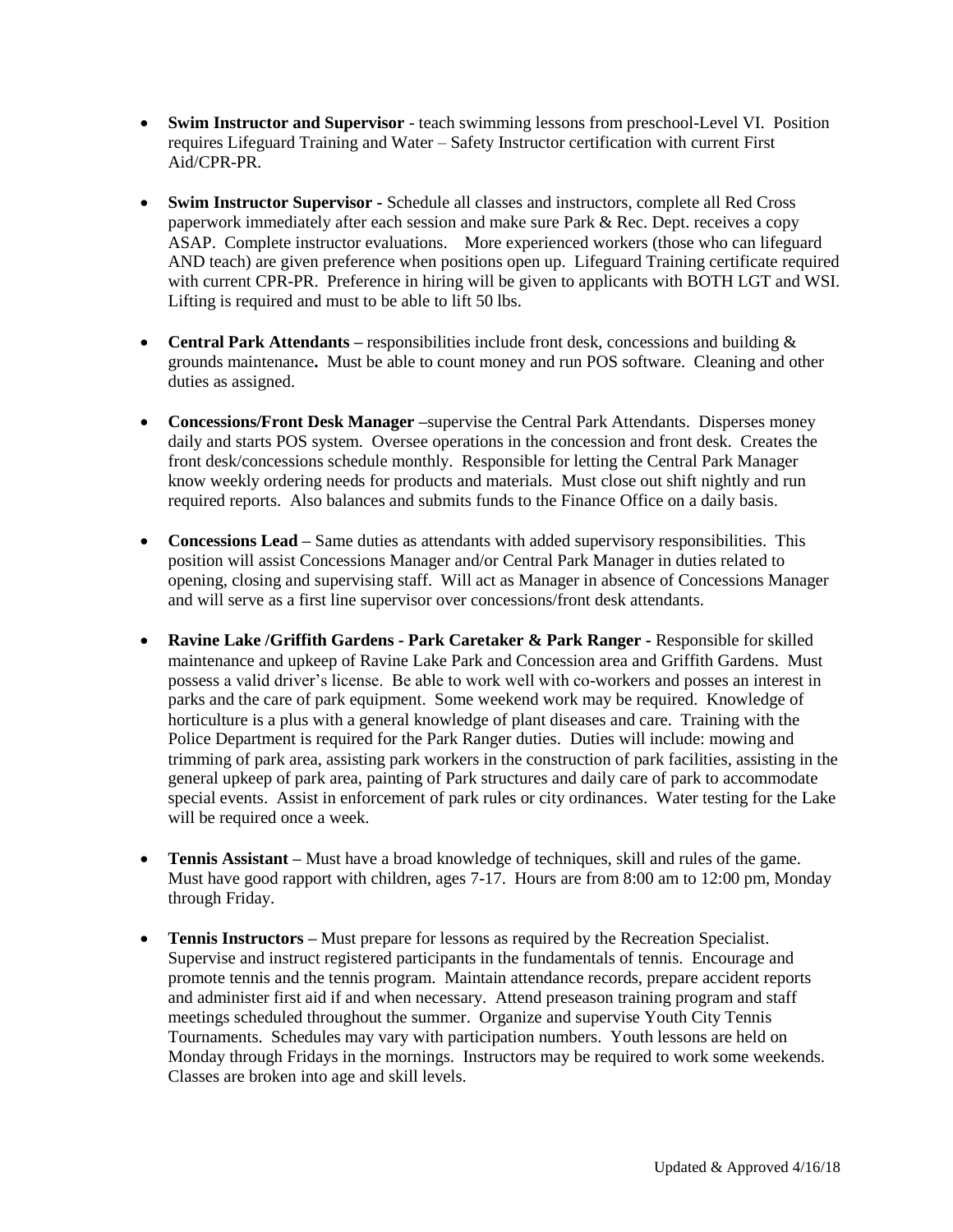- **Swim Instructor and Supervisor** teach swimming lessons from preschool-Level VI. Position requires Lifeguard Training and Water – Safety Instructor certification with current First Aid/CPR-PR.
- **Swim Instructor Supervisor -** Schedule all classes and instructors, complete all Red Cross paperwork immediately after each session and make sure Park & Rec. Dept. receives a copy ASAP. Complete instructor evaluations. More experienced workers (those who can lifeguard AND teach) are given preference when positions open up. Lifeguard Training certificate required with current CPR-PR. Preference in hiring will be given to applicants with BOTH LGT and WSI. Lifting is required and must to be able to lift 50 lbs.
- **Central Park Attendants** responsibilities include front desk, concessions and building & grounds maintenance**.** Must be able to count money and run POS software. Cleaning and other duties as assigned.
- **Concessions/Front Desk Manager –**supervise the Central Park Attendants. Disperses money daily and starts POS system. Oversee operations in the concession and front desk. Creates the front desk/concessions schedule monthly. Responsible for letting the Central Park Manager know weekly ordering needs for products and materials. Must close out shift nightly and run required reports. Also balances and submits funds to the Finance Office on a daily basis.
- **Concessions Lead –** Same duties as attendants with added supervisory responsibilities. This position will assist Concessions Manager and/or Central Park Manager in duties related to opening, closing and supervising staff. Will act as Manager in absence of Concessions Manager and will serve as a first line supervisor over concessions/front desk attendants.
- **Ravine Lake /Griffith Gardens - Park Caretaker & Park Ranger -** Responsible for skilled maintenance and upkeep of Ravine Lake Park and Concession area and Griffith Gardens. Must possess a valid driver's license. Be able to work well with co-workers and posses an interest in parks and the care of park equipment. Some weekend work may be required. Knowledge of horticulture is a plus with a general knowledge of plant diseases and care. Training with the Police Department is required for the Park Ranger duties. Duties will include: mowing and trimming of park area, assisting park workers in the construction of park facilities, assisting in the general upkeep of park area, painting of Park structures and daily care of park to accommodate special events. Assist in enforcement of park rules or city ordinances. Water testing for the Lake will be required once a week.
- **Tennis Assistant –** Must have a broad knowledge of techniques, skill and rules of the game. Must have good rapport with children, ages 7-17. Hours are from 8:00 am to 12:00 pm, Monday through Friday.
- **Tennis Instructors** Must prepare for lessons as required by the Recreation Specialist. Supervise and instruct registered participants in the fundamentals of tennis. Encourage and promote tennis and the tennis program. Maintain attendance records, prepare accident reports and administer first aid if and when necessary. Attend preseason training program and staff meetings scheduled throughout the summer. Organize and supervise Youth City Tennis Tournaments. Schedules may vary with participation numbers. Youth lessons are held on Monday through Fridays in the mornings. Instructors may be required to work some weekends. Classes are broken into age and skill levels.